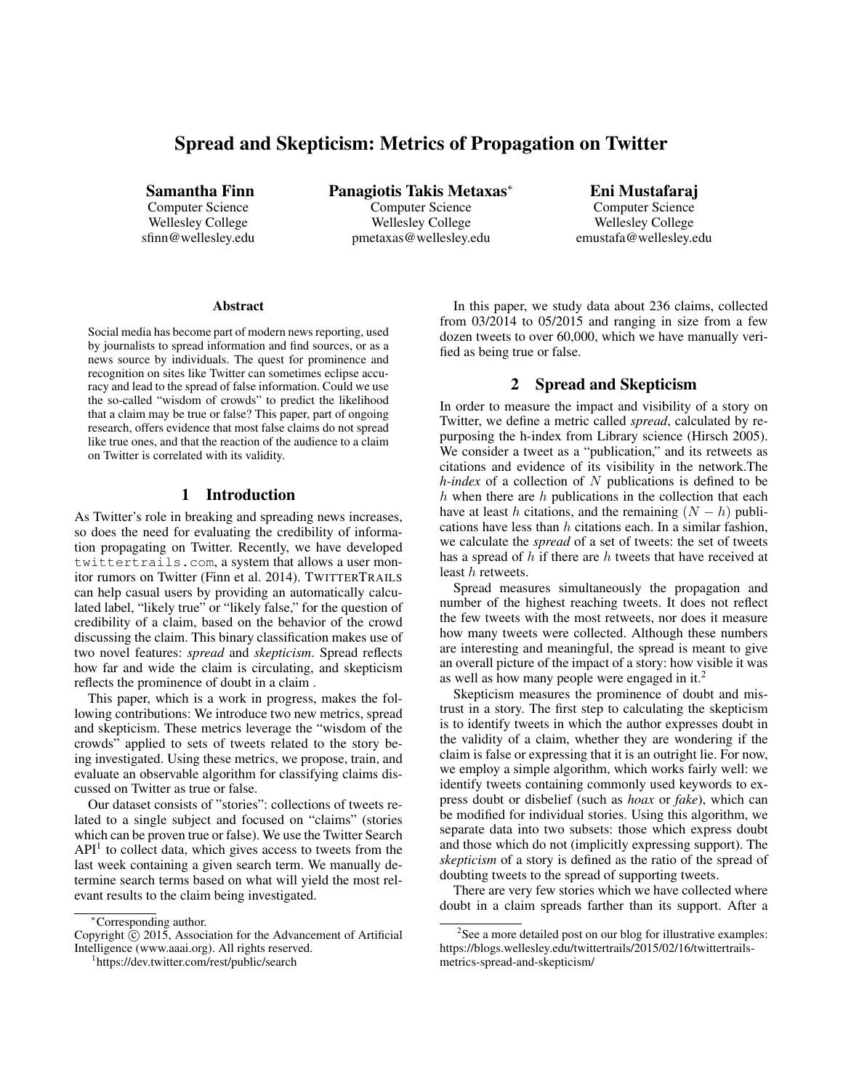# Spread and Skepticism: Metrics of Propagation on Twitter

Samantha Finn

Computer Science Wellesley College sfinn@wellesley.edu Panagiotis Takis Metaxas<sup>∗</sup> Computer Science Wellesley College pmetaxas@wellesley.edu

Eni Mustafaraj Computer Science Wellesley College emustafa@wellesley.edu

#### Abstract

Social media has become part of modern news reporting, used by journalists to spread information and find sources, or as a news source by individuals. The quest for prominence and recognition on sites like Twitter can sometimes eclipse accuracy and lead to the spread of false information. Could we use the so-called "wisdom of crowds" to predict the likelihood that a claim may be true or false? This paper, part of ongoing research, offers evidence that most false claims do not spread like true ones, and that the reaction of the audience to a claim on Twitter is correlated with its validity.

## 1 Introduction

As Twitter's role in breaking and spreading news increases, so does the need for evaluating the credibility of information propagating on Twitter. Recently, we have developed twittertrails.com, a system that allows a user monitor rumors on Twitter (Finn et al. 2014). TWITTERTRAILS can help casual users by providing an automatically calculated label, "likely true" or "likely false," for the question of credibility of a claim, based on the behavior of the crowd discussing the claim. This binary classification makes use of two novel features: *spread* and *skepticism*. Spread reflects how far and wide the claim is circulating, and skepticism reflects the prominence of doubt in a claim .

This paper, which is a work in progress, makes the following contributions: We introduce two new metrics, spread and skepticism. These metrics leverage the "wisdom of the crowds" applied to sets of tweets related to the story being investigated. Using these metrics, we propose, train, and evaluate an observable algorithm for classifying claims discussed on Twitter as true or false.

Our dataset consists of "stories": collections of tweets related to a single subject and focused on "claims" (stories which can be proven true or false). We use the Twitter Search  $API<sup>1</sup>$  to collect data, which gives access to tweets from the last week containing a given search term. We manually determine search terms based on what will yield the most relevant results to the claim being investigated.

In this paper, we study data about 236 claims, collected from 03/2014 to 05/2015 and ranging in size from a few dozen tweets to over 60,000, which we have manually verified as being true or false.

# 2 Spread and Skepticism

In order to measure the impact and visibility of a story on Twitter, we define a metric called *spread*, calculated by repurposing the h-index from Library science (Hirsch 2005). We consider a tweet as a "publication," and its retweets as citations and evidence of its visibility in the network.The *h-index* of a collection of N publications is defined to be  $h$  when there are  $h$  publications in the collection that each have at least h citations, and the remaining  $(N - h)$  publications have less than  $h$  citations each. In a similar fashion, we calculate the *spread* of a set of tweets: the set of tweets has a spread of  $h$  if there are  $h$  tweets that have received at least h retweets.

Spread measures simultaneously the propagation and number of the highest reaching tweets. It does not reflect the few tweets with the most retweets, nor does it measure how many tweets were collected. Although these numbers are interesting and meaningful, the spread is meant to give an overall picture of the impact of a story: how visible it was as well as how many people were engaged in it.<sup>2</sup>

Skepticism measures the prominence of doubt and mistrust in a story. The first step to calculating the skepticism is to identify tweets in which the author expresses doubt in the validity of a claim, whether they are wondering if the claim is false or expressing that it is an outright lie. For now, we employ a simple algorithm, which works fairly well: we identify tweets containing commonly used keywords to express doubt or disbelief (such as *hoax* or *fake*), which can be modified for individual stories. Using this algorithm, we separate data into two subsets: those which express doubt and those which do not (implicitly expressing support). The *skepticism* of a story is defined as the ratio of the spread of doubting tweets to the spread of supporting tweets.

There are very few stories which we have collected where doubt in a claim spreads farther than its support. After a

<sup>∗</sup>Corresponding author.

Copyright  $\tilde{c}$  2015, Association for the Advancement of Artificial Intelligence (www.aaai.org). All rights reserved.

<sup>1</sup> https://dev.twitter.com/rest/public/search

<sup>&</sup>lt;sup>2</sup>See a more detailed post on our blog for illustrative examples: https://blogs.wellesley.edu/twittertrails/2015/02/16/twittertrailsmetrics-spread-and-skepticism/